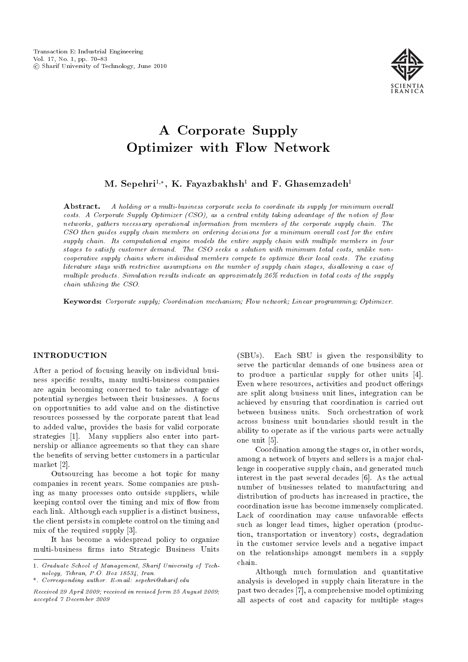

M. Sepehri $^{1,\ast},\, {\rm K.}$  Fayazbakhsh $^1$  and F. Ghasemzadeh $^1$ 

**Abstract.** A holding or a multi-business corporate seeks to coordinate its supply for minimum overall costs. A Corporate Supply Optimizer  $(CSO)$ , as a central entity taking advantage of the notion of flow networks, gathers necessary operational information from members of the corporate supply chain. The CSO then guides supply chain members on ordering decisions for a minimum overall cost for the entire supply chain. Its computational engine models the entire supply chain with multiple members in four stages to satisfy customer demand. The CSO seeks a solution with minimum total costs, unlike noncooperative supply chains where individual members compete to optimize their local costs. The existing literature stays with restrictive assumptions on the number of supply chain stages, disallowing a case of multiple products. Simulation results indicate an approximately 26% reduction in total costs of the supply chain utilizing the CSO.

Keywords: Corporate supply; Coordination mechanism; Flow network; Linear programming; Optimizer.

## INTRODUCTION

After a period of focusing heavily on individual business specic results, many multi-business companies are again becoming concerned to take advantage of potential synergies between their businesses. A focus on opportunities to add value and on the distinctive resources possessed by the corporate parent that lead to added value, provides the basis for valid corporate strategies [1]. Many suppliers also enter into partnership or alliance agreements so that they can share the benefits of serving better customers in a particular market [2].

Outsourcing has become a hot topic for many companies in recent years. Some companies are pushing as many processes onto outside suppliers, while keeping control over the timing and mix of flow from each link. Although each supplier is a distinct business, the client persists in complete control on the timing and mix of the required supply [3].

It has become a widespread policy to organize multi-business firms into Strategic Business Units

(SBUs). Each SBU is given the responsibility to serve the particular demands of one business area or to produce a particular supply for other units [4]. Even where resources, activities and product offerings are split along business unit lines, integration can be achieved by ensuring that coordination is carried out between business units. Such orchestration of work across business unit boundaries should result in the ability to operate as if the various parts were actually one unit [5].

Coordination among the stages or, in other words, among a network of buyers and sellers is a major challenge in cooperative supply chain, and generated much interest in the past several decades [6]. As the actual number of businesses related to manufacturing and distribution of products has increased in practice, the coordination issue has become immensely complicated. Lack of coordination may cause unfavorable effects such as longer lead times, higher operation (production, transportation or inventory) costs, degradation in the customer service levels and a negative impact on the relationships amongst members in a supply chain.

Although much formulation and quantitative analysis is developed in supply chain literature in the past two decades [7], a comprehensive model optimizing all aspects of cost and capacity for multiple stages

<sup>1.</sup> Graduate School of Management, Sharif University of Technology, Tehran, P.O. Box 18534, Iran.

<sup>\*.</sup> Corresponding author. E-mail: sepehri@sharif.edu

Received 29 April 2009; received in revised form 25 August 2009; accepted 7 December 2009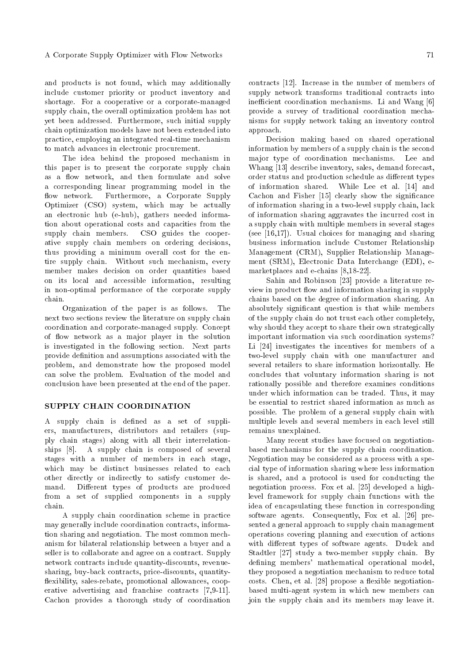and products is not found, which may additionally include customer priority or product inventory and shortage. For a cooperative or a corporate-managed supply chain, the overall optimization problem has not yet been addressed. Furthermore, such initial supply chain optimization models have not been extended into practice, employing an integrated real-time mechanism to match advances in electronic procurement.

The idea behind the proposed mechanism in this paper is to present the corporate supply chain as a flow network, and then formulate and solve a corresponding linear programming model in the flow network. Furthermore, a Corporate Supply Optimizer (CSO) system, which may be actually an electronic hub (e-hub), gathers needed information about operational costs and capacities from the supply chain members. CSO guides the cooperative supply chain members on ordering decisions, thus providing a minimum overall cost for the entire supply chain. Without such mechanism, every member makes decision on order quantities based on its local and accessible information, resulting in non-optimal performance of the corporate supply chain.

Organization of the paper is as follows. The next two sections review the literature on supply chain coordination and corporate-managed supply. Concept of flow network as a major player in the solution is investigated in the following section. Next parts provide definition and assumptions associated with the problem, and demonstrate how the proposed model can solve the problem. Evaluation of the model and conclusion have been presented at the end of the paper.

#### SUPPLY CHAIN COORDINATION

A supply chain is defined as a set of suppliers, manufacturers, distributors and retailers (supply chain stages) along with all their interrelationships [8]. A supply chain is composed of several stages with a number of members in each stage, which may be distinct businesses related to each other directly or indirectly to satisfy customer demand. Different types of products are produced from a set of supplied components in a supply chain.

A supply chain coordination scheme in practice may generally include coordination contracts, information sharing and negotiation. The most common mechanism for bilateral relationship between a buyer and a seller is to collaborate and agree on a contract. Supply network contracts include quantity-discounts, revenuesharing, buy-back contracts, price-discounts, quantity flexibility, sales-rebate, promotional allowances, cooperative advertising and franchise contracts [7,9-11]. Cachon provides a thorough study of coordination contracts [12]. Increase in the number of members of supply network transforms traditional contracts into inefficient coordination mechanisms. Li and Wang [6] provide a survey of traditional coordination mechanisms for supply network taking an inventory control approach.

Decision making based on shared operational information by members of a supply chain is the second major type of coordination mechanisms. Lee and Whang [13] describe inventory, sales, demand forecast, order status and production schedule as different types of information shared. While Lee et al. [14] and Cachon and Fisher [15] clearly show the signicance of information sharing in a two-level supply chain, lack of information sharing aggravates the incurred cost in a supply chain with multiple members in several stages (see [16,17]). Usual choices for managing and sharing business information include Customer Relationship Management (CRM), Supplier Relationship Management (SRM), Electronic Data Interchange (EDI), emarketplaces and e-chains [8,18-22].

Sahin and Robinson [23] provide a literature review in product flow and information sharing in supply chains based on the degree of information sharing. An absolutely signicant question is that while members of the supply chain do not trust each other completely, why should they accept to share their own strategically important information via such coordination systems? Li [24] investigates the incentives for members of a two-level supply chain with one manufacturer and several retailers to share information horizontally. He concludes that voluntary information sharing is not rationally possible and therefore examines conditions under which information can be traded. Thus, it may be essential to restrict shared information as much as possible. The problem of a general supply chain with multiple levels and several members in each level still remains unexplained.

Many recent studies have focused on negotiationbased mechanisms for the supply chain coordination. Negotiation may be considered as a process with a special type of information sharing where less information is shared, and a protocol is used for conducting the negotiation process. Fox et al. [25] developed a highlevel framework for supply chain functions with the idea of encapsulating these function in corresponding software agents. Consequently, Fox et al. [26] presented a general approach to supply chain management operations covering planning and execution of actions with different types of software agents. Dudek and Stadtler [27] study a two-member supply chain. By defining members' mathematical operational model, they proposed a negotiation mechanism to reduce total costs. Chen, et al. [28] propose a flexible negotiationbased multi-agent system in which new members can join the supply chain and its members may leave it.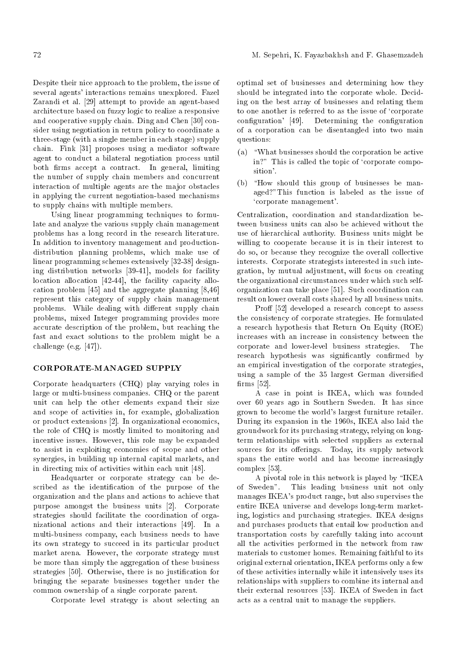Despite their nice approach to the problem, the issue of several agents' interactions remains unexplored. Fazel Zarandi et al. [29] attempt to provide an agent-based architecture based on fuzzy logic to realize a responsive and cooperative supply chain. Ding and Chen [30] consider using negotiation in return policy to coordinate a three-stage (with a single member in each stage) supply chain. Fink [31] proposes using a mediator software agent to conduct a bilateral negotiation process until both firms accept a contract. In general, limiting the number of supply chain members and concurrent interaction of multiple agents are the major obstacles in applying the current negotiation-based mechanisms to supply chains with multiple members.

Using linear programming techniques to formulate and analyze the various supply chain management problems has a long record in the research literature. In addition to inventory management and productiondistribution planning problems, which make use of linear programming schemes extensively [32-38] designing distribution networks [39-41], models for facility location allocation [42-44], the facility capacity allocation problem [45] and the aggregate planning [8,46] represent this category of supply chain management problems. While dealing with different supply chain problems, mixed Integer programming provides more accurate description of the problem, but reaching the fast and exact solutions to the problem might be a challenge (e.g. [47]).

# CORPORATE-MANAGED SUPPLY

Corporate headquarters (CHQ) play varying roles in large or multi-business companies. CHQ or the parent unit can help the other elements expand their size and scope of activities in, for example, globalization or product extensions [2]. In organizational economics, the role of CHQ is mostly limited to monitoring and incentive issues. However, this role may be expanded to assist in exploiting economies of scope and other synergies, in building up internal capital markets, and in directing mix of activities within each unit [48].

Headquarter or corporate strategy can be described as the identification of the purpose of the organization and the plans and actions to achieve that purpose amongst the business units [2]. Corporate strategies should facilitate the coordination of organizational actions and their interactions [49]. In a multi-business company, each business needs to have its own strategy to succeed in its particular product market arena. However, the corporate strategy must be more than simply the aggregation of these business strategies [50]. Otherwise, there is no justication for bringing the separate businesses together under the common ownership of a single corporate parent.

Corporate level strategy is about selecting an

optimal set of businesses and determining how they should be integrated into the corporate whole. Deciding on the best array of businesses and relating them to one another is referred to as the issue of `corporate configuration' [49]. Determining the configuration of a corporation can be disentangled into two main questions:

- (a)  $\omega$  "What businesses should the corporation be active in?" This is called the topic of 'corporate composition'.
- $(b)$  "How should this group of businesses be managed?"This function is labeled as the issue of `corporate management'.

Centralization, coordination and standardization between business units can also be achieved without the use of hierarchical authority. Business units might be willing to cooperate because it is in their interest to do so, or because they recognize the overall collective interests. Corporate strategists interested in such integration, by mutual adjustment, will focus on creating the organizational circumstances under which such selforganization can take place [51]. Such coordination can result on lower overall costs shared by all business units.

Proff [52] developed a research concept to assess the consistency of corporate strategies. He formulated a research hypothesis that Return On Equity (ROE) increases with an increase in consistency between the corporate and lower-level business strategies. The research hypothesis was significantly confirmed by an empirical investigation of the corporate strategies, using a sample of the 35 largest German diversied  $firms$  [52].

A case in point is IKEA, which was founded over 60 years ago in Southern Sweden. It has since grown to become the world's largest furniture retailer. During its expansion in the 1960s, IKEA also laid the groundwork for its purchasing strategy, relying on longterm relationships with selected suppliers as external sources for its offerings. Today, its supply network spans the entire world and has become increasingly complex [53].

A pivotal role in this network is played by \IKEA of Sweden". This leading business unit not only manages IKEA's product range, but also supervises the entire IKEA universe and develops long-term marketing, logistics and purchasing strategies. IKEA designs and purchases products that entail low production and transportation costs by carefully taking into account all the activities performed in the network from raw materials to customer homes. Remaining faithful to its original external orientation, IKEA performs only a few of these activities internally while it intensively uses its relationships with suppliers to combine its internal and their external resources [53]. IKEA of Sweden in fact acts as a central unit to manage the suppliers.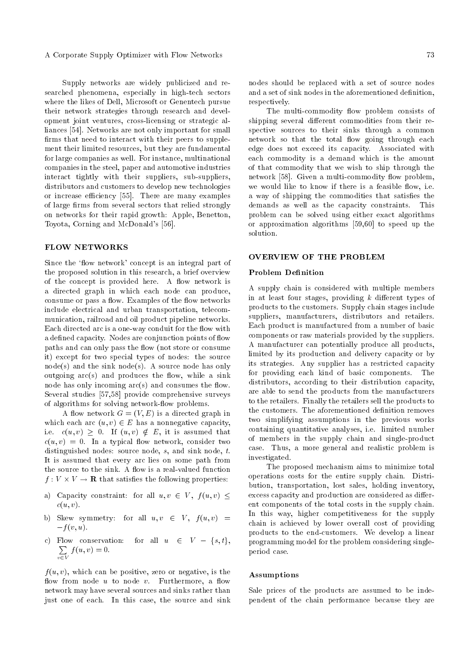Supply networks are widely publicized and researched phenomena, especially in high-tech sectors where the likes of Dell, Microsoft or Genentech pursue their network strategies through research and development joint ventures, cross-licensing or strategic alliances [54]. Networks are not only important for small firms that need to interact with their peers to supplement their limited resources, but they are fundamental for large companies as well. For instance, multinational companies in the steel, paper and automotive industries interact tightly with their suppliers, sub-suppliers, distributors and customers to develop new technologies or increase efficiency [55]. There are many examples of large firms from several sectors that relied strongly on networks for their rapid growth: Apple, Benetton, Toyota, Corning and McDonald's [56].

## FLOW NETWORKS

Since the 'flow network' concept is an integral part of the proposed solution in this research, a brief overview of the concept is provided here. A flow network is a directed graph in which each node can produce, consume or pass a flow. Examples of the flow networks include electrical and urban transportation, telecommunication, railroad and oil product pipeline networks. Each directed arc is a one-way conduit for the flow with a defined capacity. Nodes are conjunction points of flow paths and can only pass the flow (not store or consume it) except for two special types of nodes: the source  $node(s)$  and the sink node(s). A source node has only outgoing  $\arcsin(x)$  and produces the flow, while a sink node has only incoming  $arc(s)$  and consumes the flow. Several studies [57,58] provide comprehensive surveys of algorithms for solving network-flow problems.

A flow network  $G = (V, E)$  is a directed graph in which each arc  $(u, v) \in E$  has a nonnegative capacity, i.e.  $c(u, v) \geq 0$ . If  $(u, v) \notin E$ , it is assumed that  $c(u, v) = 0$ . In a typical flow network, consider two distinguished nodes: source node, s, and sink node, t. It is assumed that every arc lies on some path from the source to the sink. A flow is a real-valued function  $f: V \times V \to \mathbf{R}$  that satisfies the following properties:

- a) Capacity constraint: for all  $u, v \in V$ ,  $f(u, v) \leq$  $c(u, v)$ .
- b) Skew symmetry: for all  $u, v \in V$ ,  $f(u, v)$  =  $-f(v, u)$ .
- c) Flow conservation: for all  $u \in V \{s, t\},\$  $\sum$  $v\in V$  $f(u, v) = 0.$

 $f(u, v)$ , which can be positive, zero or negative, is the flow from node  $u$  to node  $v$ . Furthermore, a flow network may have several sources and sinks rather than just one of each. In this case, the source and sink nodes should be replaced with a set of source nodes and a set of sink nodes in the aforementioned definition. respectively.

The multi-commodity flow problem consists of shipping several different commodities from their respective sources to their sinks through a common network so that the total flow going through each edge does not exceed its capacity. Associated with each commodity is a demand which is the amount of that commodity that we wish to ship through the network [58]. Given a multi-commodity flow problem, we would like to know if there is a feasible flow, i.e. a way of shipping the commodities that satisfies the demands as well as the capacity constraints. This problem can be solved using either exact algorithms or approximation algorithms [59,60] to speed up the solution.

#### OVERVIEW OF THE PROBLEM

#### Problem Definition

A supply chain is considered with multiple members in at least four stages, providing  $k$  different types of products to the customers. Supply chain stages include suppliers, manufacturers, distributors and retailers. Each product is manufactured from a number of basic components or raw materials provided by the suppliers. A manufacturer can potentially produce all products, limited by its production and delivery capacity or by its strategies. Any supplier has a restricted capacity for providing each kind of basic components. The distributors, according to their distribution capacity, are able to send the products from the manufacturers to the retailers. Finally the retailers sell the products to the customers. The aforementioned definition removes two simplifying assumptions in the previous works containing quantitative analyses, i.e. limited number of members in the supply chain and single-product case. Thus, a more general and realistic problem is investigated.

The proposed mechanism aims to minimize total operations costs for the entire supply chain. Distribution, transportation, lost sales, holding inventory, excess capacity and production are considered as different components of the total costs in the supply chain. In this way, higher competitiveness for the supply chain is achieved by lower overall cost of providing products to the end-customers. We develop a linear programming model for the problem considering singleperiod case.

#### Assumptions

Sale prices of the products are assumed to be independent of the chain performance because they are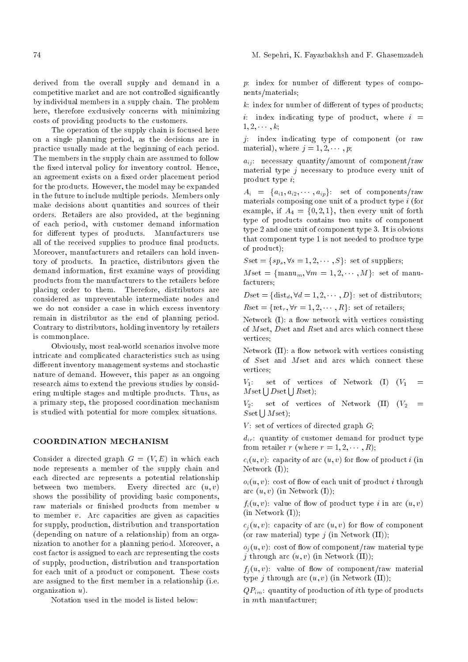derived from the overall supply and demand in a competitive market and are not controlled signicantly by individual members in a supply chain. The problem here, therefore exclusively concerns with minimizing costs of providing products to the customers.

The operation of the supply chain is focused here on a single planning period, as the decisions are in practice usually made at the beginning of each period. The members in the supply chain are assumed to follow the fixed interval policy for inventory control. Hence, an agreement exists on a fixed order placement period for the products. However, the model may be expanded in the future to include multiple periods. Members only make decisions about quantities and sources of their orders. Retailers are also provided, at the beginning of each period, with customer demand information for different types of products. Manufacturers use all of the received supplies to produce final products. Moreover, manufacturers and retailers can hold inventory of products. In practice, distributors given the demand information, first examine ways of providing products from the manufacturers to the retailers before placing order to them. Therefore, distributors are considered as unpreventable intermediate nodes and we do not consider a case in which excess inventory remain in distributor as the end of planning period. Contrary to distributors, holding inventory by retailers is commonplace.

Obviously, most real-world scenarios involve more intricate and complicated characteristics such as using different inventory management systems and stochastic nature of demand. However, this paper as an ongoing research aims to extend the previous studies by considering multiple stages and multiple products. Thus, as a primary step, the proposed coordination mechanism is studied with potential for more complex situations.

# COORDINATION MECHANISM

Consider a directed graph  $G = (V, E)$  in which each node represents a member of the supply chain and each directed arc represents a potential relationship between two members. Every directed arc  $(u, v)$ shows the possibility of providing basic components, raw materials or finished products from member  $u$ to member v. Arc capacities are given as capacities for supply, production, distribution and transportation (depending on nature of a relationship) from an organization to another for a planning period. Moreover, a cost factor is assigned to each arc representing the costs of supply, production, distribution and transportation for each unit of a product or component. These costs are assigned to the first member in a relationship (i.e. organization u).

Notation used in the model is listed below:

 $p:$  index for number of different types of components/materials;

 $k:$  index for number of different of types of products;

i: index indicating type of product, where  $i =$  $1, 2, \cdots, k;$ 

j: index indicating type of component (or raw material), where  $j = 1, 2, \dots, p$ ;

 $a_{ij}$ : necessary quantity/amount of component/raw material type  $j$  necessary to produce every unit of product type i;

 $A_i = \{a_{i1}, a_{i2}, \cdots, a_{ip}\}$ : set of components/raw materials composing one unit of a product type  $i$  (for example, if  $A_4 = \{0, 2, 1\}$ , then every unit of forth type of products contains two units of component type 2 and one unit of component type 3. It is obvious that component type 1 is not needed to produce type of product);

 $Sset = \{sp_s, \forall s = 1, 2, \cdots, S\}$ : set of suppliers;

 $M\,\text{set} = \{\text{manu}_m, \forall m = 1, 2, \cdots, M\}$ : set of manufacturers;

 $Dset = \{dist_d, \forall d = 1, 2, \cdots, D\}$ : set of distributors;  $Rset = \{ret_r, \forall r = 1, 2, \cdots, R\}$ : set of retailers;

Network  $(I)$ : a flow network with vertices consisting of  $M$ set,  $D$ set and  $R$ set and arcs which connect these vertices;

Network  $(II)$ : a flow network with vertices consisting of Sset and Mset and arcs which connect these vertices;

 $V_1$ : set of vertices of Network (I)  $(V_1 =$  $M\,\text{set}\bigcup D\,\text{set}\bigcup R\,\text{set}$ );

 $V_2$ : set of vertices of Network (II)  $(V_2 =$  $S$ set  $\bigcup M$ set);

 $V$ : set of vertices of directed graph  $G$ ;

 $d_{ir}$ : quantity of customer demand for product type from retailer r (where  $r = 1, 2, \cdots, R$ );

 $c_i(u, v)$ : capacity of arc  $(u, v)$  for flow of product i (in Network (I));

 $o_i(u, v)$ : cost of flow of each unit of product *i* through arc  $(u, v)$  (in Network  $(I)$ );

 $f_i(u, v)$ : value of flow of product type *i* in arc  $(u, v)$  $(in$  Network  $(I))$ :

 $c_i(u, v)$ : capacity of arc  $(u, v)$  for flow of component (or raw material) type  $j$  (in Network  $(II)$ );

 $o_i(u, v)$ : cost of flow of component/raw material type j through arc  $(u, v)$  (in Network (II));

 $f_i(u, v)$ : value of flow of component/raw material type *j* through arc  $(u, v)$  (in Network (II));

 $QP_{im}$ : quantity of production of *i*th type of products in mth manufacturer;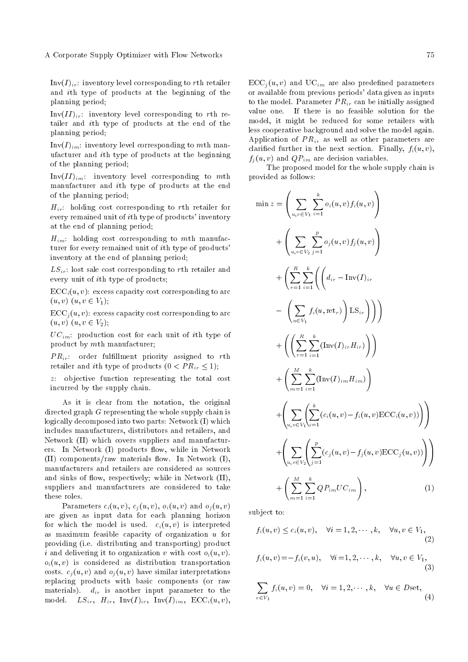$Inv(I)_{ir}:$  inventory level corresponding to rth retailer and ith type of products at the beginning of the planning period;

 $Inv(II)_{ir}$ : inventory level corresponding to rth retailer and ith type of products at the end of the planning period;

 $Inv(I)_{im}$ : inventory level corresponding to mth manufacturer and ith type of products at the beginning of the planning period;

 $Inv(II)_{im}$ : inventory level corresponding to mth manufacturer and ith type of products at the end of the planning period;

 $H_{ir}$ : holding cost corresponding to rth retailer for every remained unit of ith type of products' inventory at the end of planning period;

 $H_{im}$ : holding cost corresponding to mth manufacturer for every remained unit of ith type of products' inventory at the end of planning period;

 $LS_{ir}$ : lost sale cost corresponding to rth retailer and every unit of ith type of products;

 $\text{ECC}_{i}(u, v)$ : excess capacity cost corresponding to arc  $(u, v)$   $(u, v \in V_1);$ 

 $\text{ECC}_{i}(u, v)$ : excess capacity cost corresponding to arc  $(u, v)$   $(u, v \in V_2);$ 

 $UC_{im}$ : production cost for each unit of *i*th type of product by mth manufacturer;

 $PR_{ir}$ : order fulfillment priority assigned to rth retailer and *i*th type of products  $(0 < PR<sub>ir</sub> \le 1)$ ;

z: objective function representing the total cost incurred by the supply chain.

As it is clear from the notation, the original directed graph G representing the whole supply chain is logically decomposed into two parts: Network (I) which includes manufacturers, distributors and retailers, and Network (II) which covers suppliers and manufacturers. In Network (I) products flow, while in Network (II) components/raw materials flow. In Network  $(I)$ , manufacturers and retailers are considered as sources and sinks of flow, respectively; while in Network (II), suppliers and manufacturers are considered to take these roles.

Parameters  $c_i(u, v), c_i(u, v), o_i(u, v)$  and  $o_i(u, v)$ are given as input data for each planning horizon for which the model is used.  $c_i(u, v)$  is interpreted as maximum feasible capacity of organization  $u$  for providing (i.e. distributing and transporting) product i and delivering it to organization v with cost  $o_i(u, v)$ .  $o_i(u, v)$  is considered as distribution transportation costs.  $c_i(u, v)$  and  $o_i(u, v)$  have similar interpretations replacing products with basic components (or raw materials).  $d_{ir}$  is another input parameter to the model.  $LS_{ir}$ ,  $H_{ir}$ ,  $Inv(I)_{ir}$ ,  $Inv(I)_{im}$ ,  $ECC_i(u, v)$ ,  $\text{ECC}_{i}(u, v)$  and  $\text{UC}_{im}$  are also predefined parameters or available from previous periods' data given as inputs to the model. Parameter  $PR_{ir}$  can be initially assigned value one. If there is no feasible solution for the model, it might be reduced for some retailers with less cooperative background and solve the model again. Application of  $PR_{ir}$  as well as other parameters are clarified further in the next section. Finally,  $f_i(u, v)$ ,  $f_i(u, v)$  and  $QP_{im}$  are decision variables.

The proposed model for the whole supply chain is provided as follows:

$$
\min z = \left( \sum_{u,v \in V_1} \sum_{i=1}^k o_i(u,v) f_i(u,v) \right)
$$
  
+ 
$$
\left( \sum_{u,v \in V_2} \sum_{j=1}^p o_j(u,v) f_j(u,v) \right)
$$
  
+ 
$$
\left( \sum_{r=1}^R \sum_{i=1}^k \left( \left( d_{ir} - \text{Inv}(I)_{ir} - \left( \sum_{u \in V_1} f_i(u, \text{ret}_r) \right) \text{LS}_{ir} \right) \right) \right)
$$
  
+ 
$$
\left( \left( \sum_{r=1}^R \sum_{i=1}^k (\text{Inv}(I)_{ir} H_{ir}) \right) \right)
$$
  
+ 
$$
\left( \sum_{m=1}^M \sum_{i=1}^k (\text{Inv}(I)_{im} H_{im}) \right)
$$
  
+ 
$$
\left( \sum_{u,v \in V_1} \sum_{i=1}^k (c_i(u,v) - f_i(u,v) \text{ECC}_i(u,v)) \right) \right)
$$
  
+ 
$$
\left( \sum_{u,v \in V_2} \left( \sum_{j=1}^p (c_j(u,v) - f_j(u,v) \text{ECC}_j(u,v)) \right) \right)
$$
  
+ 
$$
\left( \sum_{m=1}^M \sum_{i=1}^k Q P_{im} U C_{im} \right), \qquad (1)
$$

subject to:

$$
f_i(u, v) \le c_i(u, v), \quad \forall i = 1, 2, \cdots, k, \quad \forall u, v \in V_1,
$$
\n
$$
(2)
$$

$$
f_i(u, v) = -f_i(v, u), \quad \forall i = 1, 2, \cdots, k, \quad \forall u, v \in V_1,
$$
\n(3)

$$
\sum_{v \in V_1} f_i(u, v) = 0, \quad \forall i = 1, 2, \cdots, k, \quad \forall u \in D \text{set}, \tag{4}
$$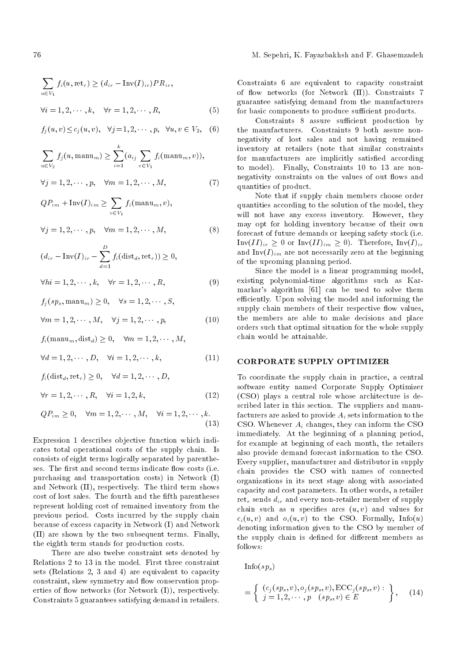$$
\sum_{u \in V_1} f_i(u, \text{ret}_r) \ge (d_{ir} - \text{Inv}(I)_{ir})PR_{ir},
$$
  

$$
\forall i = 1, 2, \cdots, k, \quad \forall r = 1, 2, \cdots, R,
$$
 (5)

$$
f_j(u, v) \le c_j(u, v), \quad \forall j = 1, 2, \cdots, p, \quad \forall u, v \in V_2,
$$
 (6)

$$
\sum_{u \in V_2} f_j(u, \text{manu}_m) \ge \sum_{i=1}^k (a_{ij} \sum_{v \in V_1} f_i(\text{manu}_m, v)),
$$

$$
\forall j = 1, 2, \cdots, p, \quad \forall m = 1, 2, \cdots, M,
$$
\n(7)

$$
QP_{im} + \text{Inv}(I)_{im} \ge \sum_{v \in V_1} f_i(\text{manu}_m, v),
$$

$$
\forall j = 1, 2, \cdots, p, \quad \forall m = 1, 2, \cdots, M,
$$
\n(8)

$$
(d_{ir} - Inv(I)_{ir} - \sum_{d=1}^{D} f_i(\text{dist}_d, \text{ret}_r)) \ge 0,
$$

$$
\forall hi = 1, 2, \cdots, k, \quad \forall r = 1, 2, \cdots, R,
$$
\n(9)

$$
f_j(sp_s, \text{manu}_m) \ge 0, \quad \forall s = 1, 2, \cdots, S,
$$

$$
\forall m = 1, 2, \cdots, M, \quad \forall j = 1, 2, \cdots, p,
$$
\n(10)

$$
f_i(\text{manu}_m, \text{dist}_d) \ge 0, \quad \forall m = 1, 2, \cdots, M,
$$

$$
\forall d = 1, 2, \cdots, D, \quad \forall i = 1, 2, \cdots, k,
$$
\n(11)

$$
f_i(\text{dist}_d, \text{ret}_r) \ge 0, \quad \forall d = 1, 2, \cdots, D,
$$
  

$$
\forall r = 1, 2, \cdots, R, \quad \forall i = 1, 2, k,
$$
 (12)

$$
QP_{im} \ge 0, \quad \forall m = 1, 2, \cdots, M, \quad \forall i = 1, 2, \cdots, k.
$$
\n(13)

Expression 1 describes objective function which indicates total operational costs of the supply chain. Is consists of eight terms logically separated by parentheses. The first and second terms indicate flow costs (i.e. purchasing and transportation costs) in Network (I) and Network (II), respectively. The third term shows cost of lost sales. The fourth and the fifth parentheses represent holding cost of remained inventory from the previous period. Costs incurred by the supply chain because of excess capacity in Network (I) and Network (II) are shown by the two subsequent terms. Finally, the eighth term stands for production costs.

There are also twelve constraint sets denoted by Relations 2 to 13 in the model. First three constraint sets (Relations 2, 3 and 4) are equivalent to capacity constraint, skew symmetry and flow conservation properties of flow networks (for Network  $(I)$ ), respectively. Constraints 5 guarantees satisfying demand in retailers. Constraints 6 are equivalent to capacity constraint of flow networks (for Network (II)). Constraints 7 guarantee satisfying demand from the manufacturers for basic components to produce sufficient products.

Constraints 8 assure sufficient production by the manufacturers. Constraints 9 both assure nonnegativity of lost sales and not having remained inventory at retailers (note that similar constraints for manufacturers are implicitly satisfied according to model). Finally, Constraints 10 to 13 are nonnegativity constraints on the values of out flows and quantities of product.

Note that if supply chain members choose order quantities according to the solution of the model, they will not have any excess inventory. However, they may opt for holding inventory because of their own forecast of future demands or keeping safety stock (i.e.  $Inv(II)_{ir} \geq 0$  or  $Inv(II)_{im} \geq 0$ . Therefore,  $Inv(I)_{ir}$ and  $\text{Inv}(I)_{im}$  are not necessarily zero at the beginning of the upcoming planning period.

Since the model is a linear programming model, existing polynomial-time algorithms such as Karmarkar's algorithm [61] can be used to solve them efficiently. Upon solving the model and informing the supply chain members of their respective flow values. the members are able to make decisions and place orders such that optimal situation for the whole supply chain would be attainable.

## CORPORATE SUPPLY OPTIMIZER

To coordinate the supply chain in practice, a central software entity named Corporate Supply Optimizer (CSO) plays a central role whose architecture is described later in this section. The suppliers and manufacturers are asked to provide  $A_i$  sets information to the CSO. Whenever  $A_i$  changes, they can inform the CSO immediately. At the beginning of a planning period, for example at beginning of each month, the retailers also provide demand forecast information to the CSO. Every supplier, manufacturer and distributor in supply chain provides the CSO with names of connected organizations in its next stage along with associated capacity and cost parameters. In other words, a retailer ret<sub>r</sub> sends  $d_{ir}$  and every non-retailer member of supply chain such as u specifies arcs  $(u, v)$  and values for  $c_i(u, v)$  and  $o_i(u, v)$  to the CSO. Formally, Info(u) denoting information given to the CSO by member of the supply chain is defined for different members as follows:

 $Info(sp_s)$ 

$$
= \left\{ \begin{array}{l} (c_j(sp_s, v), o_j(sp_s, v), \text{ECC}_j(sp_s, v): \\ j = 1, 2, \cdots, p \quad (sp_s, v) \in E \end{array} \right\}, \quad (14)
$$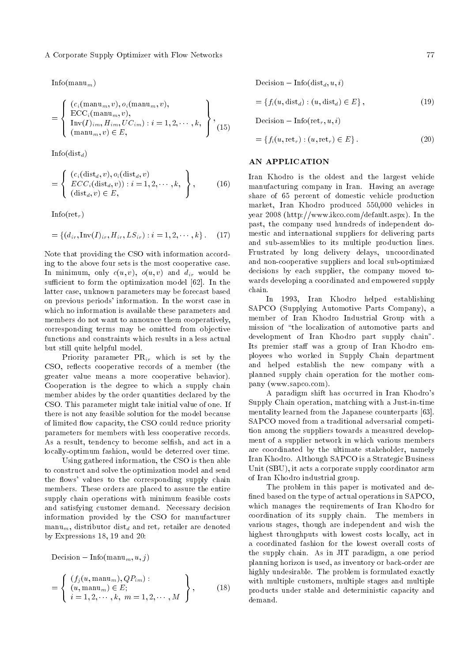$Info(manu_m)$ 

$$
= \left\{\begin{array}{l}\n(c_i(\text{manu}_m, v), o_i(\text{manu}_m, v), \\
\text{ECC}_i(\text{manu}_m, v), \\
\text{Inv}(I)_{im}, H_{im}, UC_{im}): i = 1, 2, \cdots, k, \\
(\text{manu}_m, v) \in E,\n\end{array}\right\},\n\tag{15}
$$

 $Info(dist_d)$ 

$$
= \left\{\n \begin{array}{l}\n (c_i(\text{dist}_d, v), o_i(\text{dist}_d, v)) \\
 ECC_i(\text{dist}_d, v)) : i = 1, 2, \cdots, k, \\
 (\text{dist}_d, v) \in E,\n \end{array}\n \right\},
$$
\n(16)

Info(ret<sub>r</sub>)

$$
= \{ (d_{ir}, \text{Inv}(I)_{ir}, H_{ir}, LS_{ir}) : i = 1, 2, \cdots, k \}.
$$
 (17)

Note that providing the CSO with information according to the above four sets is the most cooperative case. In minimum, only  $c(u, v)$ ,  $o(u, v)$  and  $d_{ir}$  would be sufficient to form the optimization model [62]. In the latter case, unknown parameters may be forecast based on previous periods' information. In the worst case in which no information is available these parameters and members do not want to announce them cooperatively, corresponding terms may be omitted from objective functions and constraints which results in a less actual but still quite helpful model.

Priority parameter  $PR_{ir}$  which is set by the CSO, reflects cooperative records of a member (the greater value means a more cooperative behavior). Cooperation is the degree to which a supply chain member abides by the order quantities declared by the CSO. This parameter might take initial value of one. If there is not any feasible solution for the model because of limited flow capacity, the CSO could reduce priority parameters for members with less cooperative records. As a result, tendency to become selfish, and act in a locally-optimum fashion, would be deterred over time.

Using gathered information, the CSO is then able to construct and solve the optimization model and send the flows' values to the corresponding supply chain members. These orders are placed to assure the entire supply chain operations with minimum feasible costs and satisfying customer demand. Necessary decision information provided by the CSO for manufacturer manu<sub>m</sub>, distributor dist<sub>d</sub> and ret<sub>r</sub> retailer are denoted by Expressions 18, 19 and 20:

Decision  $-\ln f$ fo(manu<sub>m</sub>, u, j)

$$
= \left\{ \begin{array}{l} (f_j(u, \text{manu}_m), QP_{im}) : \\ (u, \text{manu}_m) \in E; \\ i = 1, 2, \cdots, k, \ m = 1, 2, \cdots, M \end{array} \right\},
$$
(18)

Decision  $-\ln f$ <sup>o</sup>(dist<sub>d</sub>, u, i)

$$
= \{f_i(u, \text{dist}_d) : (u, \text{dist}_d) \in E\},\tag{19}
$$

Decision  $-\ln f$ fo(ret<sub>r</sub>, u, i)

$$
= \{f_i(u, \text{ret}_r) : (u, \text{ret}_r) \in E\}.
$$
\n
$$
(20)
$$

# AN APPLICATION

Iran Khodro is the oldest and the largest vehicle manufacturing company in Iran. Having an average share of 65 percent of domestic vehicle production market, Iran Khodro produced 550,000 vehicles in year 2008 (http://www.ikco.com/default.aspx). In the past, the company used hundreds of independent domestic and international suppliers for delivering parts and sub-assemblies to its multiple production lines. Frustrated by long delivery delays, uncoordinated and non-cooperative suppliers and local sub-optimized decisions by each supplier, the company moved towards developing a coordinated and empowered supply chain.

In 1993, Iran Khodro helped establishing SAPCO (Supplying Automotive Parts Company), a member of Iran Khodro Industrial Group with a mission of \the localization of automotive parts and development of Iran Khodro part supply chain". Its premier staff was a group of Iran Khodro employees who worked in Supply Chain department and helped establish the new company with a planned supply chain operation for the mother company (www.sapco.com).

A paradigm shift has occurred in Iran Khodro's Supply Chain operation, matching with a Just-in-time mentality learned from the Japanese counterparts [63]. SAPCO moved from a traditional adversarial competition among the suppliers towards a measured development of a supplier network in which various members are coordinated by the ultimate stakeholder, namely Iran Khodro. Although SAPCO is a Strategic Business Unit (SBU), it acts a corporate supply coordinator arm of Iran Khodro industrial group.

The problem in this paper is motivated and de fined based on the type of actual operations in SAPCO, which manages the requirements of Iran Khodro for coordination of its supply chain. The members in various stages, though are independent and wish the highest throughputs with lowest costs locally, act in a coordinated fashion for the lowest overall costs of the supply chain. As in JIT paradigm, a one period planning horizon is used, as inventory or back-order are highly undesirable. The problem is formulated exactly with multiple customers, multiple stages and multiple products under stable and deterministic capacity and demand.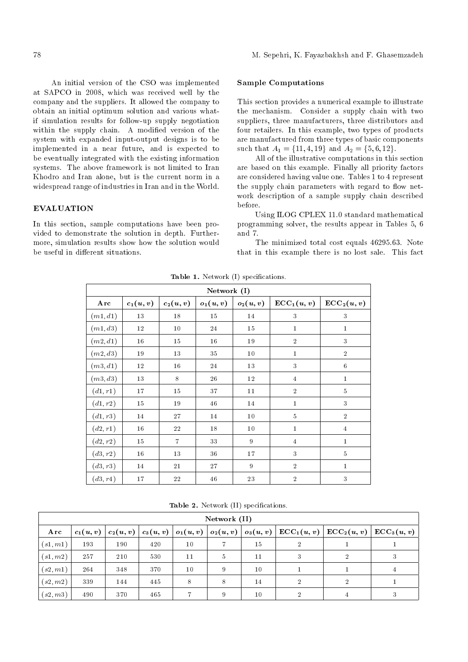An initial version of the CSO was implemented at SAPCO in 2008, which was received well by the company and the suppliers. It allowed the company to obtain an initial optimum solution and various whatif simulation results for follow-up supply negotiation within the supply chain. A modified version of the system with expanded input-output designs is to be implemented in a near future, and is expected to be eventually integrated with the existing information systems. The above framework is not limited to Iran Khodro and Iran alone, but is the current norm in a widespread range of industries in Iran and in the World.

# EVALUATION

In this section, sample computations have been provided to demonstrate the solution in depth. Furthermore, simulation results show how the solution would be useful in different situations.

### Sample Computations

This section provides a numerical example to illustrate the mechanism. Consider a supply chain with two suppliers, three manufacturers, three distributors and four retailers. In this example, two types of products are manufactured from three types of basic components such that  $A_1 = \{11, 4, 19\}$  and  $A_2 = \{5, 6, 12\}.$ 

All of the illustrative computations in this section are based on this example. Finally all priority factors are considered having value one. Tables 1 to 4 represent the supply chain parameters with regard to flow network description of a sample supply chain described before.

Using ILOG CPLEX 11.0 standard mathematical programming solver, the results appear in Tables 5, 6 and 7.

The minimized total cost equals 46295.63. Note that in this example there is no lost sale. This fact

| Network $(I)$ |            |                |            |            |                              |                        |
|---------------|------------|----------------|------------|------------|------------------------------|------------------------|
| Arc           | $c_1(u,v)$ | $c_2(u,v)$     | $o_1(u,v)$ | $o_2(u,v)$ | $\operatorname{ECC}_1(u, v)$ | $\mathrm{ECC}_2(u, v)$ |
| (m1,d1)       | $13\,$     | 18             | 15         | 14         | 3                            | 3                      |
| (m1, d3)      | 12         | 10             | 24         | 15         | $\mathbf{1}$                 | $\mathbf{1}$           |
| (m2, d1)      | 16         | 15             | 16         | 19         | $\overline{2}$               | $\sqrt{3}$             |
| (m2, d3)      | 19         | 13             | 35         | 10         | $\mathbf{1}$                 | $\overline{2}$         |
| (m3, d1)      | $12\,$     | 16             | 24         | 13         | 3                            | 6                      |
| (m3,d3)       | 13         | 8              | 26         | 12         | $\overline{4}$               | $\mathbf{1}$           |
| (d1, r1)      | 17         | 15             | 37         | 11         | $\overline{2}$               | $\overline{5}$         |
| (d1, r2)      | 15         | 19             | 46         | 14         | $\bf{1}$                     | 3                      |
| (d1, r3)      | 14         | 27             | 14         | 10         | $\overline{5}$               | $\overline{2}$         |
| (d2, r1)      | $16\,$     | 22             | 18         | 10         | $\mathbf{1}$                 | $\overline{4}$         |
| (d2, r2)      | 15         | $\overline{7}$ | 33         | 9          | $\overline{4}$               | $\mathbf{1}$           |
| (d3, r2)      | 16         | $13\,$         | 36         | 17         | 3                            | $\overline{5}$         |
| (d3, r3)      | 14         | 21             | 27         | 9          | $\overline{2}$               | $\mathbf{1}$           |
| (d3, r4)      | 17         | 22             | 46         | $23\,$     | $\overline{2}$               | 3                      |

Table 1. Network (I) specifications.

| Network (II)   |            |            |            |            |                |            |                                    |                       |                       |
|----------------|------------|------------|------------|------------|----------------|------------|------------------------------------|-----------------------|-----------------------|
| Arc            | $c_1(u,v)$ | $c_2(u,v)$ | $c_3(u,v)$ | $o_1(u,v)$ | $ o_2(u,v) $   | $o_3(u,v)$ | $\vert\text{ECC}_1(u,v)\vert\vert$ | $\mathrm{ECC}_2(u,v)$ | $\mathrm{ECC}_3(u,v)$ |
| (s1, m1)       | 193        | 190        | 420        | 10         |                | 15         | 2                                  |                       |                       |
| (s1, m2)       | 257        | 210        | 530        | 11         | $\overline{5}$ | 11         | 3                                  | $\mathcal{D}$         |                       |
| (s2,m1)        | 264        | 348        | 370        | 10         | 9              | 10         |                                    |                       | 4                     |
| (s2, m2)       | 339        | 144        | 445        | 8          | 8              | 14         | $\overline{2}$                     | $\overline{2}$        |                       |
| $^{+}(s2, m3)$ | 490        | 370        | 465        |            | 9              | 10         |                                    |                       |                       |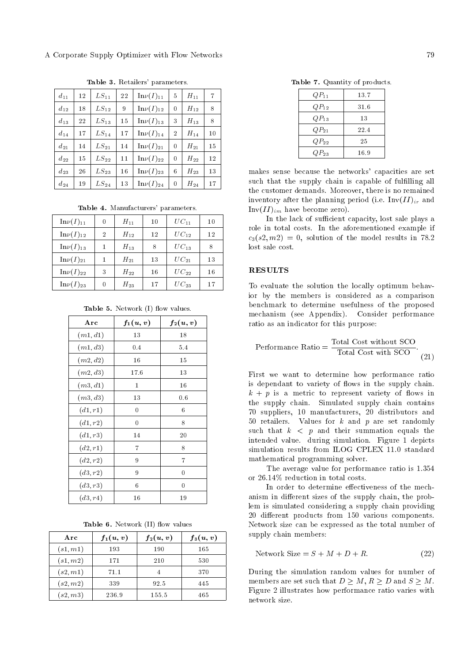| $d_{11}$ | 12 | $LS_{11}$ | 22 | $\mathrm{In}\nu(I)_{11}$ | 5              | $H_{11}$ | 7  |
|----------|----|-----------|----|--------------------------|----------------|----------|----|
| $d_{12}$ | 18 | $LS_{12}$ | 9  | $\mathrm{In}\nu(I)_{12}$ | 0              | $H_{12}$ | 8  |
| $d_{13}$ | 22 | $LS_{13}$ | 15 | $\text{In}\nu(I)_{13}$   | 3              | $H_{13}$ | 8  |
| $d_{14}$ | 17 | $LS_{14}$ | 17 | $\text{In}\nu(I)_{14}$   | $\overline{2}$ | $H_{14}$ | 10 |
| $d_{21}$ | 14 | $LS_{21}$ | 14 | $\mathrm{In}\nu(I)_{21}$ | 0              | $H_{21}$ | 15 |
| $d_{22}$ | 15 | $LS_{22}$ | 11 | $\text{In}\nu(I)_{22}$   | 0              | $H_{22}$ | 12 |
| $d_{23}$ | 26 | $LS_{23}$ | 16 | $\mathrm{In}\nu(I)_{23}$ | 6              | $H_{23}$ | 13 |
| $d_{24}$ | 19 | $LS_{24}$ | 13 | $\text{In}\nu(I)_{24}$   | 0              | $H_{24}$ | 17 |

Table 3. Retailers' parameters.

Table 4. Manufacturers' parameters.

| $\mathrm{In}\nu(I)_{11}$ | 0              | $H_{11}$ | 10 | $UC_{11}$ | 10 |
|--------------------------|----------------|----------|----|-----------|----|
| $\mathrm{In}\nu(I)_{12}$ | $\overline{2}$ | $H_{12}$ | 12 | $UC_{12}$ | 12 |
| $\text{In}\nu(I)_{13}$   | 1              | $H_{13}$ | 8  | $UC_{13}$ | 8  |
| $\text{In}\nu(I)_{21}$   | 1              | $H_{21}$ | 13 | $UC_{21}$ | 13 |
| $\text{In}\nu(I)_{22}$   | 3              | $H_{22}$ | 16 | $UC_{22}$ | 16 |
| $\text{In}\nu(I)_{23}$   | 0              | $H_{23}$ | 17 | $UC_{23}$ | 17 |

Table 5. Network (I) flow values.

| Arc      | $f_1(u,v)$     | $f_2(u,v)$ |
|----------|----------------|------------|
| (m1,d1)  | 13             | 18         |
| (m1, d3) | 0.4            | 5.4        |
| (m2, d2) | 16             | 15         |
| (m2, d3) | 17.6           | 13         |
| (m3,d1)  | $\mathbf{1}$   | 16         |
| (m3, d3) | 13             | 0.6        |
| (d1, r1) | $\overline{0}$ | 6          |
| (d1, r2) | 0              | 8          |
| (d1,r3)  | 14             | $_{20}$    |
| (d2, r1) | 7              | 8          |
| (d2, r2) | 9              | 7          |
| (d3, r2) | 9              | 0          |
| (d3, r3) | 6              | 0          |
| (d3, r4) | 16             | 19         |

|  | Table 6. Network (II) flow values |  |  |  |
|--|-----------------------------------|--|--|--|
|--|-----------------------------------|--|--|--|

| Arc      | $f_1(u,v)$ | $f_2(u,v)$ | $f_3(u,v)$ |
|----------|------------|------------|------------|
| (s1, m1) | 193        | 190        | 165        |
| (s1, m2) | 171        | 210        | 530        |
| (s2,m1)  | 71.1       |            | 370        |
| (s2, m2) | 339        | 92.5       | 445        |
| (s2, m3) | 236.9      | 155.5      | 465        |

Table 7. Quantity of products.

| $QP_{11}$ | 13.7 |
|-----------|------|
| $QP_{12}$ | 31.6 |
| $QP_{13}$ | 13   |
| $QP_{21}$ | 22.4 |
| $QP_{22}$ | 25   |
| $QP_{23}$ | 16.9 |

makes sense because the networks' capacities are set such that the supply chain is capable of fulfilling all the customer demands. Moreover, there is no remained inventory after the planning period (i.e.  $Inv(II)_{ir}$  and  $Inv(II)_{im}$  have become zero).

In the lack of sufficient capacity, lost sale plays a role in total costs. In the aforementioned example if  $c_3(s_2,m_2) = 0$ , solution of the model results in 78.2 lost sale cost.

## **RESULTS**

To evaluate the solution the locally optimum behavior by the members is considered as a comparison benchmark to determine usefulness of the proposed mechanism (see Appendix). Consider performance ratio as an indicator for this purpose:

Performance Ratio = 
$$
\frac{\text{Total Cost without SCO}}{\text{Total Cost with SCO}}.
$$
 (21)

First we want to determine how performance ratio is dependant to variety of flows in the supply chain.  $k + p$  is a metric to represent variety of flows in the supply chain. Simulated supply chain contains 70 suppliers, 10 manufacturers, 20 distributors and 50 retailers. Values for  $k$  and  $p$  are set randomly such that  $k < p$  and their summation equals the intended value. during simulation. Figure 1 depicts simulation results from ILOG CPLEX 11.0 standard mathematical programming solver.

The average value for performance ratio is 1.354 or 26.14% reduction in total costs.

In order to determine effectiveness of the mechanism in different sizes of the supply chain, the problem is simulated considering a supply chain providing 20 different products from 150 various components. Network size can be expressed as the total number of supply chain members:

$$
Network Size = S + M + D + R. \tag{22}
$$

During the simulation random values for number of members are set such that  $D \geq M$ ,  $R \geq D$  and  $S \geq M$ . Figure 2 illustrates how performance ratio varies with network size.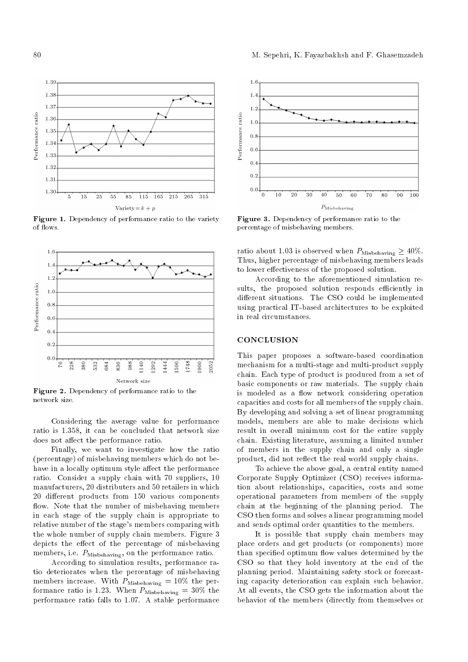

Figure 1. Dependency of performance ratio to the variety of flows.



Figure 2. Dependency of performance ratio to the network size.

Considering the average value for performance ratio is 1.358, it can be concluded that network size does not affect the performance ratio.

Finally, we want to investigate how the ratio (percentage) of misbehaving members which do not behave in a locally optimum style affect the performance ratio. Consider a supply chain with 70 suppliers, 10 manufacturers, 20 distributers and 50 retailers in which 20 different products from 150 various components flow. Note that the number of misbehaving members in each stage of the supply chain is appropriate to relative number of the stage's members comparing with the whole number of supply chain members. Figure 3 depicts the effect of the percentage of misbehaving members, i.e.  $P_{\text{Misbehaving}}$ , on the performance ratio.

According to simulation results, performance ratio deteriorates when the percentage of misbehaving members increase. With  $P_{\text{Misbehaving}} = 10\%$  the performance ratio is 1.23. When  $P_{\rm Misbehaving} = 30\%$  the performance ratio falls to 1.07. A stable performance



Figure 3. Dependency of performance ratio to the percentage of misbehaving members.

ratio about 1.03 is observed when  $P_{\text{Misbehaving}} \geq 40\%$ . Thus, higher percentage of misbehaving members leads to lower effectiveness of the proposed solution.

According to the aforementioned simulation results, the proposed solution responds efficiently in different situations. The CSO could be implemented using practical IT-based architectures to be exploited in real circumstances.

## **CONCLUSION**

This paper proposes a software-based coordination mechanism for a multi-stage and multi-product supply chain. Each type of product is produced from a set of basic components or raw materials. The supply chain is modeled as a flow network considering operation capacities and costs for all members of the supply chain. By developing and solving a set of linear programming models, members are able to make decisions which result in overall minimum cost for the entire supply chain. Existing literature, assuming a limited number of members in the supply chain and only a single product, did not reflect the real world supply chains.

To achieve the above goal, a central entity named Corporate Supply Optimizer (CSO) receives information about relationships, capacities, costs and some operational parameters from members of the supply chain at the beginning of the planning period. The CSO then forms and solves a linear programming model and sends optimal order quantities to the members.

It is possible that supply chain members may place orders and get products (or components) more than specified optimum flow values determined by the CSO so that they hold inventory at the end of the planning period. Maintaining safety stock or forecasting capacity deterioration can explain such behavior. At all events, the CSO gets the information about the behavior of the members (directly from themselves or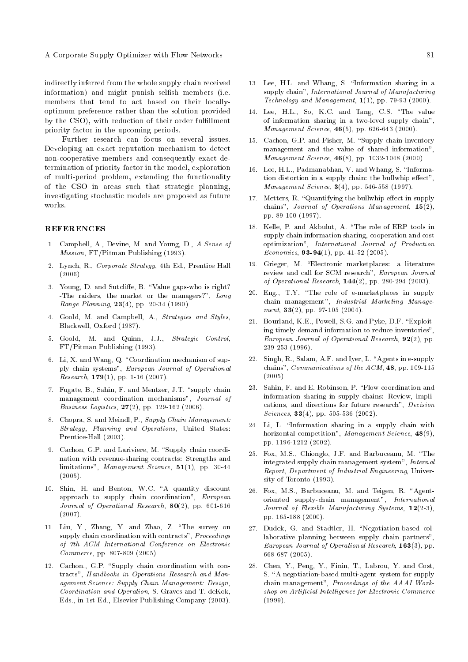indirectly inferred from the whole supply chain received information) and might punish selfish members (i.e. members that tend to act based on their locallyoptimum preference rather than the solution provided by the CSO), with reduction of their order fulfillment priority factor in the upcoming periods.

Further research can focus on several issues. Developing an exact reputation mechanism to detect non-cooperative members and consequently exact determination of priority factor in the model, exploration of multi-period problem, extending the functionality of the CSO in areas such that strategic planning, investigating stochastic models are proposed as future works.

#### REFERENCES

- 1. Campbell, A., Devine, M. and Young, D., A Sense of Mission, FT/Pitman Publishing (1993).
- 2. Lynch, R., Corporate Strategy, 4th Ed., Prentice Hall (2006).
- 3. Young, D. and Sutcliffe, B. "Value gaps-who is right? -The raiders, the market or the managers?", Long Range Planning, 23(4), pp. 20-34 (1990).
- 4. Goold, M. and Campbell, A., Strategies and Styles, Blackwell, Oxford (1987).
- 5. Goold, M. and Quinn, J.J., Strategic Control, FT/Pitman Publishing (1993).
- 6. Li, X. and Wang, Q. \Coordination mechanism of supply chain systems", European Journal of Operational *Research*,  $179(1)$ , pp. 1-16 (2007).
- 7. Fugate, B., Sahin, F. and Mentzer, J.T. "supply chain management coordination mechanisms", Journal of Business Logistics, 27(2), pp. 129-162 (2006).
- 8. Chopra, S. and Meindl, P., Supply Chain Management: Strategy, Planning and Operations, United States: Prentice-Hall (2003).
- 9. Cachon, G.P. and Lariviere, M. "Supply chain coordination with revenue-sharing contracts: Strengths and limitations", Management Science, 51(1), pp. 30-44 (2005).
- 10. Shin, H. and Benton, W.C. "A quantity discount approach to supply chain coordination", European Journal of Operational Research, 80(2), pp. 601-616 (2007).
- 11. Liu, Y., Zhang, Y. and Zhao, Z. \The survey on supply chain coordination with contracts", Proceedings of 7th ACM International Conference on Electronic Commerce, pp. 807-809 (2005).
- 12. Cachon., G.P. "Supply chain coordination with contracts", Handbooks in Operations Research and Management Science: Supply Chain Management: Design, Coordination and Operation, S. Graves and T. deKok, Eds., in 1st Ed., Elsevier Publishing Company (2003).
- 13. Lee, H.L. and Whang, S. \Information sharing in a supply chain", International Journal of Manufacturing  $Technology and Management, 1(1), pp. 79-93 (2000).$
- 14. Lee, H.L., So, K.C. and Tang, C.S. "The value of information sharing in a two-level supply chain", Management Science, 46(5), pp. 626-643 (2000).
- 15. Cachon, G.P. and Fisher, M. "Supply chain inventory management and the value of shared information", Management Science, 46(8), pp. 1032-1048 (2000).
- 16. Lee, H.L., Padmanabhan, V. and Whang, S. \Information distortion in a supply chain: the bullwhip effect", Management Science, 3(4), pp. 546-558 (1997).
- 17. Metters, R. "Quantifying the bullwhip effect in supply chains", Journal of Operations Management, 15(2), pp. 89-100 (1997).
- 18. Kelle, P. and Akbulut, A. \The role of ERP tools in supply chain information sharing, cooperation and cost optimization", International Journal of Production Economics,  $93-94(1)$ , pp. 41-52 (2005).
- 19. Grieger, M. \Electronic marketplaces: a literature review and call for SCM research", European Journal of Operational Research, 144(2), pp. 280-294 (2003).
- 20. Eng.,  $TX$ . "The role of e-marketplaces in supply chain management", Industrial Marketing Management,  $33(2)$ , pp. 97-105 (2004).
- 21. Bourland, K.E., Powell, S.G. and Pyke, D.F. "Exploiting timely demand information to reduce inventories", European Journal of Operational Research, 92(2), pp. 239-253 (1996).
- 22. Singh, R., Salam, A.F. and Iyer, L. "Agents in e-supply chains", Communications of the ACM, 48, pp. 109-115 (2005).
- 23. Sahin, F. and E. Robinson, P. \Flow coordination and information sharing in supply chains: Review, implications, and directions for future research", Decision Sciences, **33**(4), pp. 505-536 (2002).
- 24. Li, L. \Information sharing in a supply chain with horizontal competition", Management Science, 48(9), pp. 1196-1212 (2002).
- 25. Fox, M.S., Chionglo, J.F. and Barbuceanu, M. \The integrated supply chain management system", Internal Report, Department of Industrial Engineering, University of Toronto (1993).
- 26. Fox, M.S., Barbuceanu, M. and Teigen, R. "Agentoriented supply-chain management", International Journal of Flexible Manufacturing Systems,  $12(2-3)$ , pp. 165-188 (2000).
- 27. Dudek, G. and Stadtler, H. "Negotiation-based collaborative planning between supply chain partners", European Journal of Operational Research, 163(3), pp. 668-687 (2005).
- 28. Chen, Y., Peng, Y., Finin, T., Labrou, Y. and Cost, S. "A negotiation-based multi-agent system for supply chain management", Proceedings of the AAAI Workshop on Artificial Intelligence for Electronic Commerce (1999).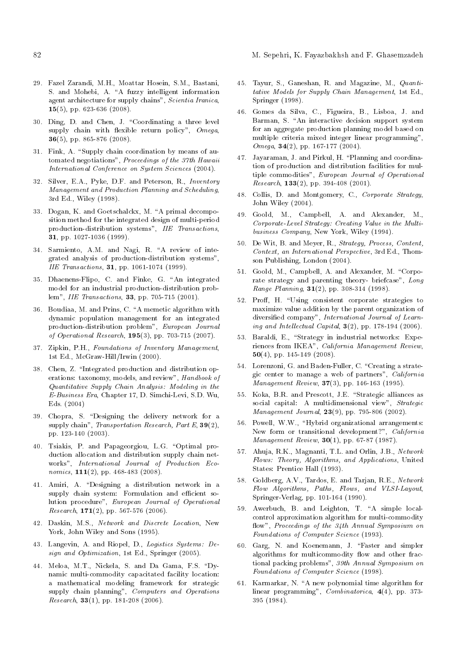- 82 M. Sepehri, K. Fayazbakhsh and F. Ghasemzadeh
- 29. Fazel Zarandi, M.H., Moattar Hosein, S.M., Bastani, S. and Mohebi, A. "A fuzzy intelligent information agent architecture for supply chains", Scientia Iranica, 15(5), pp. 623-636 (2008).
- 30. Ding, D. and Chen, J. \Coordinating a three level supply chain with flexible return policy",  $Omega$ , 36(5), pp. 865-876 (2008).
- 31. Fink, A. "Supply chain coordination by means of automated negotiations", Proceedings of the 37th Hawaii International Conference on System Sciences (2004).
- 32. Silver, E.A., Pyke, D.F. and Peterson, R., Inventory Management and Production Planning and Scheduling, 3rd Ed., Wiley (1998).
- 33. Dogan, K. and Goetschalckx, M. "A primal decomposition method for the integrated design of multi-period production-distribution systems", IIE Transactions, 31, pp. 1027-1036 (1999).
- 34. Sarmiento, A.M. and Nagi, R. "A review of integrated analysis of production-distribution systems", IIE Transactions, 31, pp. 1061-1074 (1999).
- 35. Dhaenens-Flipo, C. and Finke, G. "An integrated model for an industrial production-distribution problem", IIE Transactions, 33, pp. 705-715 (2001).
- 36. Boudiaa, M. and Prins, C. "A memetic algorithm with dynamic population management for an integrated production-distribution problem", European Journal of Operational Research, 195(3), pp. 703-715 (2007).
- 37. Zipkin, P.H., Foundations of Inventory Management, 1st Ed., McGraw-Hill/Irwin (2000).
- 38. Chen, Z. \Integrated production and distribution operations: taxonomy, models, and review", Handbook of Quantitative Supply Chain Analysis: Modeling in the E-Business Era, Chapter 17, D. Simchi-Levi, S.D. Wu, Eds. (2004)
- 39. Chopra, S. "Designing the delivery network for a supply chain", Transportation Research, Part E,  $39(2)$ , pp. 123-140 (2003).
- 40. Tsiakis, P. and Papageorgiou, L.G. \Optimal production allocation and distribution supply chain networks", International Journal of Production Economics,  $111(2)$ , pp. 468-483 (2008).
- 41. Amiri, A. "Designing a distribution network in a supply chain system: Formulation and efficient solution procedure", European Journal of Operational  $Research, 171(2), pp. 567-576 (2006).$
- 42. Daskin, M.S., Network and Discrete Location, New York, John Wiley and Sons (1995).
- 43. Langevin, A. and Riopel, D., Logistics Systems: Design and Optimization, 1st Ed., Springer (2005).
- 44. Meloa, M.T., Nickela, S. and Da Gama, F.S. "Dynamic multi-commodity capacitated facility location: a mathematical modeling framework for strategic supply chain planning", Computers and Operations Research,  $33(1)$ , pp. 181-208 (2006).
- 45. Tayur, S., Ganeshan, R. and Magazine, M., Quantitative Models for Supply Chain Management, 1st Ed., Springer (1998).
- 46. Gomes da Silva, C., Figueira, B., Lisboa, J. and Barman, S. "An interactive decision support system for an aggregate production planning model based on multiple criteria mixed integer linear programming", Omega, 34(2), pp. 167-177 (2004).
- 47. Jayaraman, J. and Pirkul, H. \Planning and coordination of production and distribution facilities for multiple commodities", European Journal of Operational Research,  $133(2)$ , pp. 394-408 (2001).
- 48. Collis, D. and Montgomery, C., Corporate Strategy, John Wiley (2004).
- 49. Goold, M., Campbell, A. and Alexander, M., Corporate-Level Strategy: Creating Value in the Multibusiness Company, New York, Wiley (1994).
- 50. De Wit, B. and Meyer, R., Strategy, Process, Content, Context, an International Perspective, 3rd Ed., Thomson Publishing, London (2004).
- 51. Goold, M., Campbell, A. and Alexander, M. "Corporate strategy and parenting theory- briefcase", Long Range Planning, 31(2), pp. 308-314 (1998).
- 52. Proff. H. "Using consistent corporate strategies to maximize value addition by the parent organization of diversied company", International Journal of Learning and Intellectual Capital,  $3(2)$ , pp. 178-194 (2006).
- 53. Baraldi, E., "Strategy in industrial networks: Experiences from IKEA", California Management Review, 50(4), pp. 145-149 (2008).
- 54. Lorenzoni, G. and Baden-Fuller, C. "Creating a strategic center to manage a web of partners",  $California$ Management Review, 37(3), pp. 146-163 (1995).
- 55. Koka, B.R. and Prescott, J.E. "Strategic alliances as social capital: A multidimensional view", Strategic Management Journal, 23(9), pp. 795-806 (2002).
- 56. Powell, W.W., "Hybrid organizational arrangements: New form or transitional development?", California Management Review, 30(1), pp. 67-87 (1987).
- 57. Ahuja, R.K., Magnanti, T.L. and Orlin, J.B., Network Flows: Theory, Algorithms, and Applications, United States: Prentice Hall (1993).
- 58. Goldberg, A.V., Tardos, E. and Tarjan, R.E., Network Flow Algorithms, Paths, Flows, and VLSI-Layout, Springer-Verlag, pp. 101-164 (1990).
- 59. Awerbuch, B. and Leighton, T. "A simple localcontrol approximation algorithm for multi-commodity flow", Proceedings of the 34th Annual Symposium on Foundations of Computer Science (1993).
- 60. Garg, N. and Koenemann, J. \Faster and simpler algorithms for multicommodity flow and other fractional packing problems", 39th Annual Symposium on Foundations of Computer Science (1998).
- 61. Karmarkar, N. "A new polynomial time algorithm for linear programming", *Combinatorica*, 4(4), pp. 373-395 (1984).